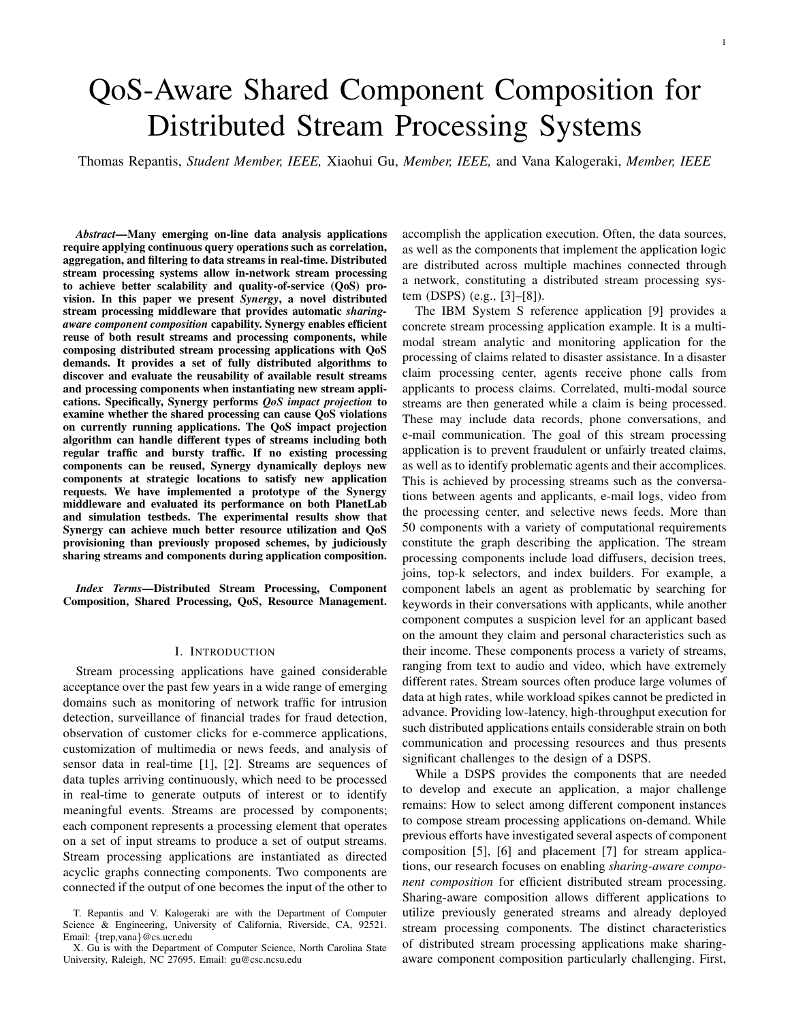# QoS-Aware Shared Component Composition for Distributed Stream Processing Systems

Thomas Repantis, *Student Member, IEEE,* Xiaohui Gu, *Member, IEEE,* and Vana Kalogeraki, *Member, IEEE*

*Abstract*—Many emerging on-line data analysis applications require applying continuous query operations such as correlation, aggregation, and filtering to data streams in real-time. Distributed stream processing systems allow in-network stream processing to achieve better scalability and quality-of-service (QoS) provision. In this paper we present *Synergy*, a novel distributed stream processing middleware that provides automatic *sharingaware component composition* capability. Synergy enables efficient reuse of both result streams and processing components, while composing distributed stream processing applications with QoS demands. It provides a set of fully distributed algorithms to discover and evaluate the reusability of available result streams and processing components when instantiating new stream applications. Specifically, Synergy performs *QoS impact projection* to examine whether the shared processing can cause QoS violations on currently running applications. The QoS impact projection algorithm can handle different types of streams including both regular traffic and bursty traffic. If no existing processing components can be reused, Synergy dynamically deploys new components at strategic locations to satisfy new application requests. We have implemented a prototype of the Synergy middleware and evaluated its performance on both PlanetLab and simulation testbeds. The experimental results show that Synergy can achieve much better resource utilization and QoS provisioning than previously proposed schemes, by judiciously sharing streams and components during application composition.

*Index Terms*—Distributed Stream Processing, Component Composition, Shared Processing, QoS, Resource Management.

## I. INTRODUCTION

Stream processing applications have gained considerable acceptance over the past few years in a wide range of emerging domains such as monitoring of network traffic for intrusion detection, surveillance of financial trades for fraud detection, observation of customer clicks for e-commerce applications, customization of multimedia or news feeds, and analysis of sensor data in real-time [1], [2]. Streams are sequences of data tuples arriving continuously, which need to be processed in real-time to generate outputs of interest or to identify meaningful events. Streams are processed by components; each component represents a processing element that operates on a set of input streams to produce a set of output streams. Stream processing applications are instantiated as directed acyclic graphs connecting components. Two components are connected if the output of one becomes the input of the other to accomplish the application execution. Often, the data sources, as well as the components that implement the application logic are distributed across multiple machines connected through a network, constituting a distributed stream processing system (DSPS) (e.g., [3]–[8]).

The IBM System S reference application [9] provides a concrete stream processing application example. It is a multimodal stream analytic and monitoring application for the processing of claims related to disaster assistance. In a disaster claim processing center, agents receive phone calls from applicants to process claims. Correlated, multi-modal source streams are then generated while a claim is being processed. These may include data records, phone conversations, and e-mail communication. The goal of this stream processing application is to prevent fraudulent or unfairly treated claims, as well as to identify problematic agents and their accomplices. This is achieved by processing streams such as the conversations between agents and applicants, e-mail logs, video from the processing center, and selective news feeds. More than 50 components with a variety of computational requirements constitute the graph describing the application. The stream processing components include load diffusers, decision trees, joins, top-k selectors, and index builders. For example, a component labels an agent as problematic by searching for keywords in their conversations with applicants, while another component computes a suspicion level for an applicant based on the amount they claim and personal characteristics such as their income. These components process a variety of streams, ranging from text to audio and video, which have extremely different rates. Stream sources often produce large volumes of data at high rates, while workload spikes cannot be predicted in advance. Providing low-latency, high-throughput execution for such distributed applications entails considerable strain on both communication and processing resources and thus presents significant challenges to the design of a DSPS.

While a DSPS provides the components that are needed to develop and execute an application, a major challenge remains: How to select among different component instances to compose stream processing applications on-demand. While previous efforts have investigated several aspects of component composition [5], [6] and placement [7] for stream applications, our research focuses on enabling *sharing-aware component composition* for efficient distributed stream processing. Sharing-aware composition allows different applications to utilize previously generated streams and already deployed stream processing components. The distinct characteristics of distributed stream processing applications make sharingaware component composition particularly challenging. First,

T. Repantis and V. Kalogeraki are with the Department of Computer Science & Engineering, University of California, Riverside, CA, 92521. Email: {trep,vana}@cs.ucr.edu

X. Gu is with the Department of Computer Science, North Carolina State University, Raleigh, NC 27695. Email: gu@csc.ncsu.edu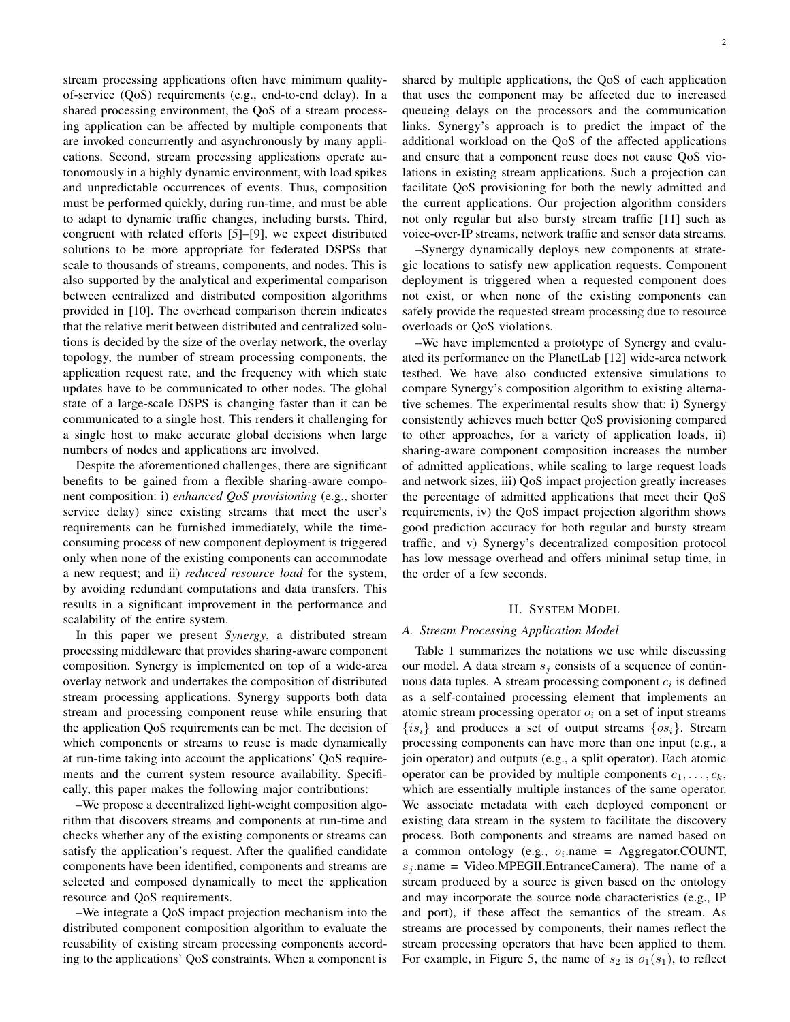stream processing applications often have minimum qualityof-service (QoS) requirements (e.g., end-to-end delay). In a shared processing environment, the QoS of a stream processing application can be affected by multiple components that are invoked concurrently and asynchronously by many applications. Second, stream processing applications operate autonomously in a highly dynamic environment, with load spikes and unpredictable occurrences of events. Thus, composition must be performed quickly, during run-time, and must be able to adapt to dynamic traffic changes, including bursts. Third, congruent with related efforts [5]–[9], we expect distributed solutions to be more appropriate for federated DSPSs that scale to thousands of streams, components, and nodes. This is also supported by the analytical and experimental comparison between centralized and distributed composition algorithms provided in [10]. The overhead comparison therein indicates that the relative merit between distributed and centralized solutions is decided by the size of the overlay network, the overlay topology, the number of stream processing components, the application request rate, and the frequency with which state updates have to be communicated to other nodes. The global state of a large-scale DSPS is changing faster than it can be communicated to a single host. This renders it challenging for a single host to make accurate global decisions when large numbers of nodes and applications are involved.

Despite the aforementioned challenges, there are significant benefits to be gained from a flexible sharing-aware component composition: i) *enhanced QoS provisioning* (e.g., shorter service delay) since existing streams that meet the user's requirements can be furnished immediately, while the timeconsuming process of new component deployment is triggered only when none of the existing components can accommodate a new request; and ii) *reduced resource load* for the system, by avoiding redundant computations and data transfers. This results in a significant improvement in the performance and scalability of the entire system.

In this paper we present *Synergy*, a distributed stream processing middleware that provides sharing-aware component composition. Synergy is implemented on top of a wide-area overlay network and undertakes the composition of distributed stream processing applications. Synergy supports both data stream and processing component reuse while ensuring that the application QoS requirements can be met. The decision of which components or streams to reuse is made dynamically at run-time taking into account the applications' QoS requirements and the current system resource availability. Specifically, this paper makes the following major contributions:

–We propose a decentralized light-weight composition algorithm that discovers streams and components at run-time and checks whether any of the existing components or streams can satisfy the application's request. After the qualified candidate components have been identified, components and streams are selected and composed dynamically to meet the application resource and QoS requirements.

–We integrate a QoS impact projection mechanism into the distributed component composition algorithm to evaluate the reusability of existing stream processing components according to the applications' QoS constraints. When a component is shared by multiple applications, the QoS of each application that uses the component may be affected due to increased queueing delays on the processors and the communication links. Synergy's approach is to predict the impact of the additional workload on the QoS of the affected applications and ensure that a component reuse does not cause QoS violations in existing stream applications. Such a projection can facilitate QoS provisioning for both the newly admitted and the current applications. Our projection algorithm considers not only regular but also bursty stream traffic [11] such as voice-over-IP streams, network traffic and sensor data streams.

–Synergy dynamically deploys new components at strategic locations to satisfy new application requests. Component deployment is triggered when a requested component does not exist, or when none of the existing components can safely provide the requested stream processing due to resource overloads or QoS violations.

–We have implemented a prototype of Synergy and evaluated its performance on the PlanetLab [12] wide-area network testbed. We have also conducted extensive simulations to compare Synergy's composition algorithm to existing alternative schemes. The experimental results show that: i) Synergy consistently achieves much better QoS provisioning compared to other approaches, for a variety of application loads, ii) sharing-aware component composition increases the number of admitted applications, while scaling to large request loads and network sizes, iii) QoS impact projection greatly increases the percentage of admitted applications that meet their QoS requirements, iv) the QoS impact projection algorithm shows good prediction accuracy for both regular and bursty stream traffic, and v) Synergy's decentralized composition protocol has low message overhead and offers minimal setup time, in the order of a few seconds.

## II. SYSTEM MODEL

## *A. Stream Processing Application Model*

Table 1 summarizes the notations we use while discussing our model. A data stream  $s_i$  consists of a sequence of continuous data tuples. A stream processing component  $c_i$  is defined as a self-contained processing element that implements an atomic stream processing operator  $o_i$  on a set of input streams  $\{is_i\}$  and produces a set of output streams  $\{os_i\}$ . Stream processing components can have more than one input (e.g., a join operator) and outputs (e.g., a split operator). Each atomic operator can be provided by multiple components  $c_1, \ldots, c_k$ , which are essentially multiple instances of the same operator. We associate metadata with each deployed component or existing data stream in the system to facilitate the discovery process. Both components and streams are named based on a common ontology (e.g.,  $o_i$ .name = Aggregator.COUNT,  $s_i$ .name = Video.MPEGII.EntranceCamera). The name of a stream produced by a source is given based on the ontology and may incorporate the source node characteristics (e.g., IP and port), if these affect the semantics of the stream. As streams are processed by components, their names reflect the stream processing operators that have been applied to them. For example, in Figure 5, the name of  $s_2$  is  $o_1(s_1)$ , to reflect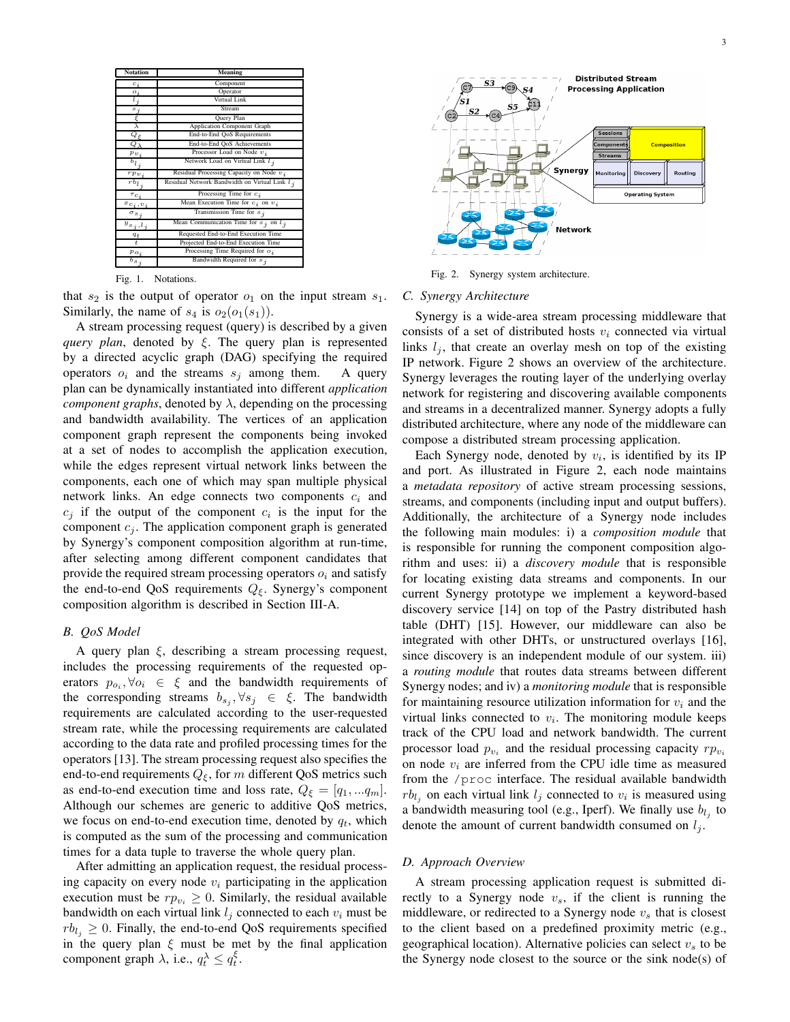| <b>Notation</b>                 | Meaning                                          |  |  |
|---------------------------------|--------------------------------------------------|--|--|
| $\overline{c}_i$                | Component                                        |  |  |
| $\overline{\mathbf{e}_i}$       | Operator                                         |  |  |
| $l_j$                           | Virtual Link                                     |  |  |
|                                 | Stream                                           |  |  |
| $\frac{s_j}{\xi}$               | Query Plan                                       |  |  |
|                                 | Application Component Graph                      |  |  |
| $Q_\xi$                         | End-to-End QoS Requirements                      |  |  |
| $Q_{\lambda}$                   | End-to-End QoS Achievements                      |  |  |
| $p_{v_i}$                       | Processor Load on Node $v_i$                     |  |  |
| $b_{l,j}$                       | Network Load on Virtual Link $l_i$               |  |  |
| $rpv_i$                         | Residual Processing Capacity on Node $v_i$       |  |  |
| $\overline{^{rb}}$ <sub>j</sub> | Residual Network Bandwidth on Virtual Link $l_i$ |  |  |
| $\tau_{c_i}$                    | Processing Time for $c_i$                        |  |  |
| $\overline{x_{c_i,v_i}}$        | Mean Execution Time for $c_i$ on $v_i$           |  |  |
| $\sigma s_i$                    | Transmission Time for $s_i$                      |  |  |
| $y_{s_i, l_i}$                  | Mean Communication Time for $s_i$ on $l_i$       |  |  |
| $\frac{q_t}{t}$                 | Requested End-to-End Execution Time              |  |  |
|                                 | Projected End-to-End Execution Time              |  |  |
| $p_{o_i}$                       | Processing Time Required for $o_i$               |  |  |
| $b_{s_j}$                       | Bandwidth Required for $s_i$                     |  |  |

that  $s_2$  is the output of operator  $o_1$  on the input stream  $s_1$ . Similarly, the name of  $s_4$  is  $o_2(o_1(s_1))$ .

A stream processing request (query) is described by a given *query plan*, denoted by ξ. The query plan is represented by a directed acyclic graph (DAG) specifying the required operators  $o_i$  and the streams  $s_j$  among them. A query plan can be dynamically instantiated into different *application component graphs*, denoted by  $\lambda$ , depending on the processing and bandwidth availability. The vertices of an application component graph represent the components being invoked at a set of nodes to accomplish the application execution, while the edges represent virtual network links between the components, each one of which may span multiple physical network links. An edge connects two components  $c_i$  and  $c_j$  if the output of the component  $c_i$  is the input for the component  $c_i$ . The application component graph is generated by Synergy's component composition algorithm at run-time, after selecting among different component candidates that provide the required stream processing operators  $o_i$  and satisfy the end-to-end QoS requirements  $Q_{\xi}$ . Synergy's component composition algorithm is described in Section III-A.

## *B. QoS Model*

A query plan  $\xi$ , describing a stream processing request, includes the processing requirements of the requested operators  $p_{o_i}, \forall o_i \in \xi$  and the bandwidth requirements of the corresponding streams  $b_{s_j}, \forall s_j \in \xi$ . The bandwidth requirements are calculated according to the user-requested stream rate, while the processing requirements are calculated according to the data rate and profiled processing times for the operators [13]. The stream processing request also specifies the end-to-end requirements  $Q_{\xi}$ , for m different QoS metrics such as end-to-end execution time and loss rate,  $Q_{\xi} = [q_1, \dots q_m].$ Although our schemes are generic to additive QoS metrics, we focus on end-to-end execution time, denoted by  $q_t$ , which is computed as the sum of the processing and communication times for a data tuple to traverse the whole query plan.

After admitting an application request, the residual processing capacity on every node  $v_i$  participating in the application execution must be  $rp_{v_i} \geq 0$ . Similarly, the residual available bandwidth on each virtual link  $l_j$  connected to each  $v_i$  must be  $rb_{l_i} \geq 0$ . Finally, the end-to-end QoS requirements specified in the query plan  $\xi$  must be met by the final application component graph  $\lambda$ , i.e.,  $q_t^{\lambda} \leq q_t^{\xi}$ .



Fig. 1. Notations. Fig. 2. Synergy system architecture.

## *C. Synergy Architecture*

Synergy is a wide-area stream processing middleware that consists of a set of distributed hosts  $v_i$  connected via virtual links  $l_i$ , that create an overlay mesh on top of the existing IP network. Figure 2 shows an overview of the architecture. Synergy leverages the routing layer of the underlying overlay network for registering and discovering available components and streams in a decentralized manner. Synergy adopts a fully distributed architecture, where any node of the middleware can compose a distributed stream processing application.

Each Synergy node, denoted by  $v_i$ , is identified by its IP and port. As illustrated in Figure 2, each node maintains a *metadata repository* of active stream processing sessions, streams, and components (including input and output buffers). Additionally, the architecture of a Synergy node includes the following main modules: i) a *composition module* that is responsible for running the component composition algorithm and uses: ii) a *discovery module* that is responsible for locating existing data streams and components. In our current Synergy prototype we implement a keyword-based discovery service [14] on top of the Pastry distributed hash table (DHT) [15]. However, our middleware can also be integrated with other DHTs, or unstructured overlays [16], since discovery is an independent module of our system. iii) a *routing module* that routes data streams between different Synergy nodes; and iv) a *monitoring module* that is responsible for maintaining resource utilization information for  $v_i$  and the virtual links connected to  $v_i$ . The monitoring module keeps track of the CPU load and network bandwidth. The current processor load  $p_{v_i}$  and the residual processing capacity  $rp_{v_i}$ on node  $v_i$  are inferred from the CPU idle time as measured from the /proc interface. The residual available bandwidth  $rb_{l_j}$  on each virtual link  $l_j$  connected to  $v_i$  is measured using a bandwidth measuring tool (e.g., Iperf). We finally use  $b_{l_j}$  to denote the amount of current bandwidth consumed on  $l_i$ .

### *D. Approach Overview*

A stream processing application request is submitted directly to a Synergy node  $v_s$ , if the client is running the middleware, or redirected to a Synergy node  $v<sub>s</sub>$  that is closest to the client based on a predefined proximity metric (e.g., geographical location). Alternative policies can select  $v<sub>s</sub>$  to be the Synergy node closest to the source or the sink node(s) of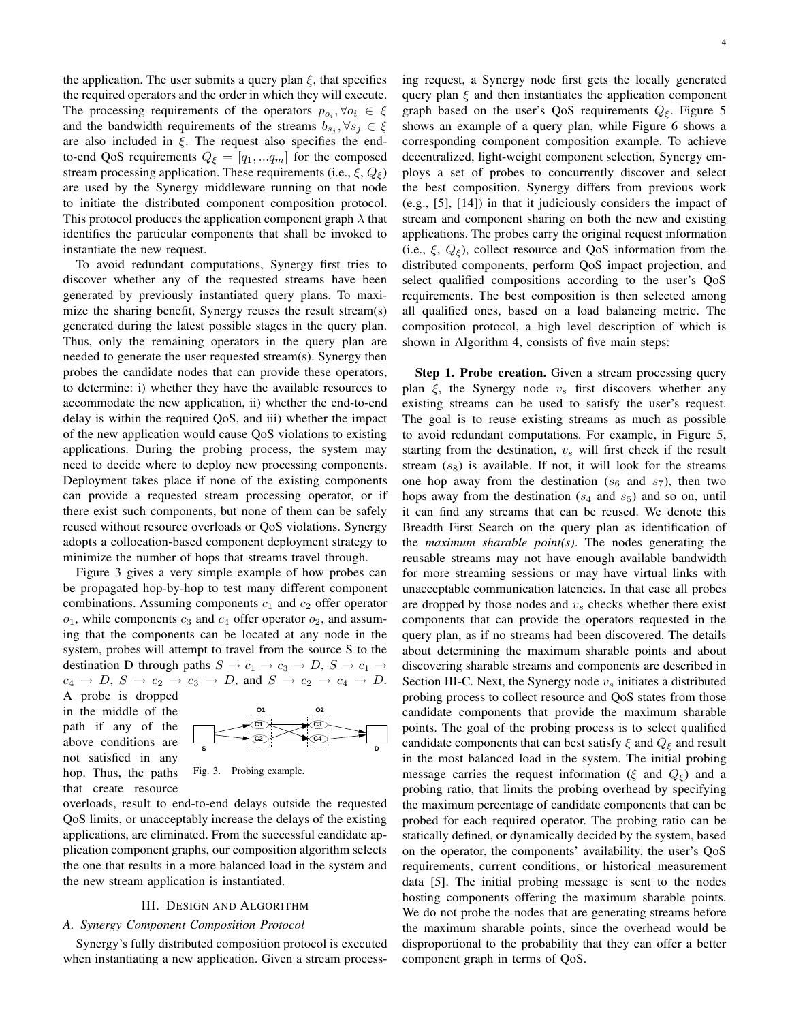the application. The user submits a query plan  $\xi$ , that specifies the required operators and the order in which they will execute. The processing requirements of the operators  $p_{o_i}, \forall o_i \in \xi$ and the bandwidth requirements of the streams  $b_{s_j}, \forall s_j \in \xi$ are also included in  $\xi$ . The request also specifies the endto-end QoS requirements  $Q_{\xi} = [q_1, \dots q_m]$  for the composed stream processing application. These requirements (i.e.,  $\xi$ ,  $Q_{\xi}$ ) are used by the Synergy middleware running on that node to initiate the distributed component composition protocol. This protocol produces the application component graph  $\lambda$  that identifies the particular components that shall be invoked to instantiate the new request.

To avoid redundant computations, Synergy first tries to discover whether any of the requested streams have been generated by previously instantiated query plans. To maximize the sharing benefit, Synergy reuses the result stream(s) generated during the latest possible stages in the query plan. Thus, only the remaining operators in the query plan are needed to generate the user requested stream(s). Synergy then probes the candidate nodes that can provide these operators, to determine: i) whether they have the available resources to accommodate the new application, ii) whether the end-to-end delay is within the required QoS, and iii) whether the impact of the new application would cause QoS violations to existing applications. During the probing process, the system may need to decide where to deploy new processing components. Deployment takes place if none of the existing components can provide a requested stream processing operator, or if there exist such components, but none of them can be safely reused without resource overloads or QoS violations. Synergy adopts a collocation-based component deployment strategy to minimize the number of hops that streams travel through.

Figure 3 gives a very simple example of how probes can be propagated hop-by-hop to test many different component combinations. Assuming components  $c_1$  and  $c_2$  offer operator  $o_1$ , while components  $c_3$  and  $c_4$  offer operator  $o_2$ , and assuming that the components can be located at any node in the system, probes will attempt to travel from the source S to the destination D through paths  $S \to c_1 \to c_3 \to D$ ,  $S \to c_1 \to c_2$  $c_4 \rightarrow D$ ,  $S \rightarrow c_2 \rightarrow c_3 \rightarrow D$ , and  $S \rightarrow c_2 \rightarrow c_4 \rightarrow D$ . A probe is dropped

in the middle of the path if any of the above conditions are not satisfied in any hop. Thus, the paths that create resource



overloads, result to end-to-end delays outside the requested QoS limits, or unacceptably increase the delays of the existing applications, are eliminated. From the successful candidate application component graphs, our composition algorithm selects the one that results in a more balanced load in the system and the new stream application is instantiated.

#### III. DESIGN AND ALGORITHM

# *A. Synergy Component Composition Protocol*

Synergy's fully distributed composition protocol is executed when instantiating a new application. Given a stream processing request, a Synergy node first gets the locally generated query plan  $\xi$  and then instantiates the application component graph based on the user's QoS requirements  $Q_{\xi}$ . Figure 5 shows an example of a query plan, while Figure 6 shows a corresponding component composition example. To achieve decentralized, light-weight component selection, Synergy employs a set of probes to concurrently discover and select the best composition. Synergy differs from previous work (e.g., [5], [14]) in that it judiciously considers the impact of stream and component sharing on both the new and existing applications. The probes carry the original request information (i.e.,  $\xi$ ,  $Q_{\xi}$ ), collect resource and QoS information from the distributed components, perform QoS impact projection, and select qualified compositions according to the user's QoS requirements. The best composition is then selected among all qualified ones, based on a load balancing metric. The composition protocol, a high level description of which is shown in Algorithm 4, consists of five main steps:

Step 1. Probe creation. Given a stream processing query plan  $\xi$ , the Synergy node  $v_s$  first discovers whether any existing streams can be used to satisfy the user's request. The goal is to reuse existing streams as much as possible to avoid redundant computations. For example, in Figure 5, starting from the destination,  $v_s$  will first check if the result stream  $(s<sub>8</sub>)$  is available. If not, it will look for the streams one hop away from the destination ( $s_6$  and  $s_7$ ), then two hops away from the destination  $(s_4 \text{ and } s_5)$  and so on, until it can find any streams that can be reused. We denote this Breadth First Search on the query plan as identification of the *maximum sharable point(s)*. The nodes generating the reusable streams may not have enough available bandwidth for more streaming sessions or may have virtual links with unacceptable communication latencies. In that case all probes are dropped by those nodes and  $v<sub>s</sub>$  checks whether there exist components that can provide the operators requested in the query plan, as if no streams had been discovered. The details about determining the maximum sharable points and about discovering sharable streams and components are described in Section III-C. Next, the Synergy node  $v_s$  initiates a distributed probing process to collect resource and QoS states from those candidate components that provide the maximum sharable points. The goal of the probing process is to select qualified candidate components that can best satisfy  $\xi$  and  $Q_{\xi}$  and result in the most balanced load in the system. The initial probing message carries the request information ( $\xi$  and  $Q_{\xi}$ ) and a probing ratio, that limits the probing overhead by specifying the maximum percentage of candidate components that can be probed for each required operator. The probing ratio can be statically defined, or dynamically decided by the system, based on the operator, the components' availability, the user's QoS requirements, current conditions, or historical measurement data [5]. The initial probing message is sent to the nodes hosting components offering the maximum sharable points. We do not probe the nodes that are generating streams before the maximum sharable points, since the overhead would be disproportional to the probability that they can offer a better component graph in terms of QoS.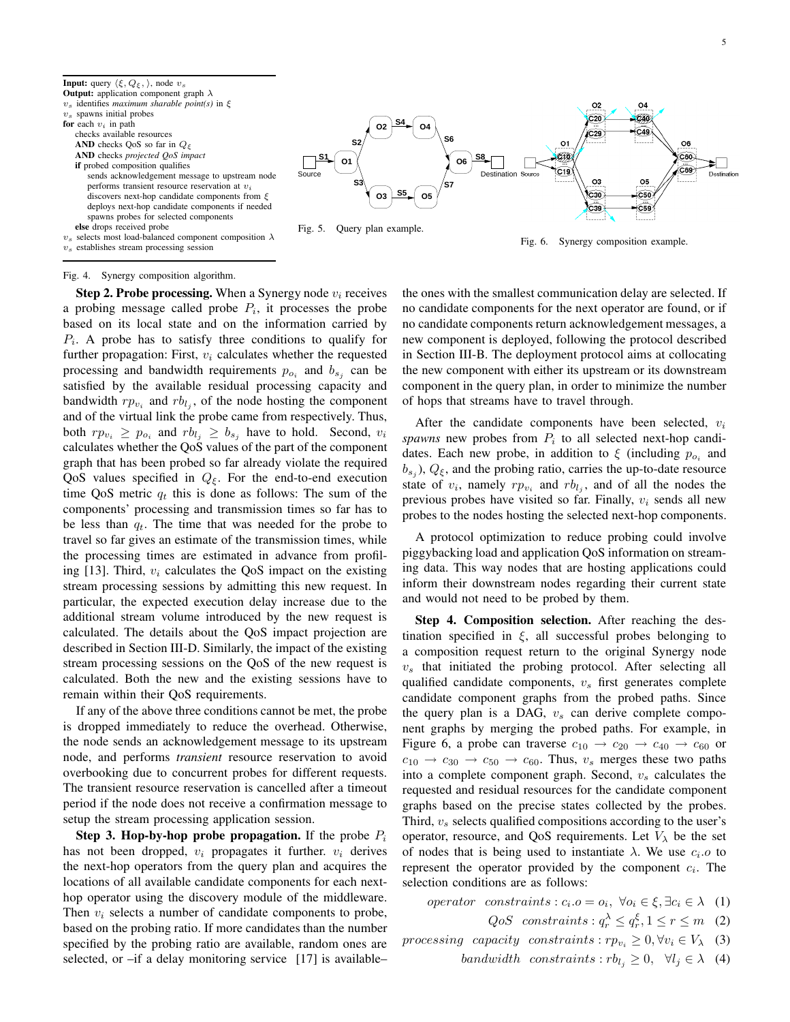





Fig. 6. Synergy composition example.

#### Fig. 4. Synergy composition algorithm.

**Step 2. Probe processing.** When a Synergy node  $v_i$  receives a probing message called probe  $P_i$ , it processes the probe based on its local state and on the information carried by  $P_i$ . A probe has to satisfy three conditions to qualify for further propagation: First,  $v_i$  calculates whether the requested processing and bandwidth requirements  $p_{o_i}$  and  $b_{s_j}$  can be satisfied by the available residual processing capacity and bandwidth  $rp_{v_i}$  and  $rb_{l_j}$ , of the node hosting the component and of the virtual link the probe came from respectively. Thus, both  $rp_{v_i} \ge p_{o_i}$  and  $rb_{l_j} \ge b_{s_j}$  have to hold. Second,  $v_i$ calculates whether the QoS values of the part of the component graph that has been probed so far already violate the required QoS values specified in  $Q_{\xi}$ . For the end-to-end execution time QoS metric  $q_t$  this is done as follows: The sum of the components' processing and transmission times so far has to be less than  $q_t$ . The time that was needed for the probe to travel so far gives an estimate of the transmission times, while the processing times are estimated in advance from profiling [13]. Third,  $v_i$  calculates the QoS impact on the existing stream processing sessions by admitting this new request. In particular, the expected execution delay increase due to the additional stream volume introduced by the new request is calculated. The details about the QoS impact projection are described in Section III-D. Similarly, the impact of the existing stream processing sessions on the QoS of the new request is calculated. Both the new and the existing sessions have to remain within their QoS requirements.

If any of the above three conditions cannot be met, the probe is dropped immediately to reduce the overhead. Otherwise, the node sends an acknowledgement message to its upstream node, and performs *transient* resource reservation to avoid overbooking due to concurrent probes for different requests. The transient resource reservation is cancelled after a timeout period if the node does not receive a confirmation message to setup the stream processing application session.

Step 3. Hop-by-hop probe propagation. If the probe  $P_i$ has not been dropped,  $v_i$  propagates it further.  $v_i$  derives the next-hop operators from the query plan and acquires the locations of all available candidate components for each nexthop operator using the discovery module of the middleware. Then  $v_i$  selects a number of candidate components to probe, based on the probing ratio. If more candidates than the number specified by the probing ratio are available, random ones are selected, or –if a delay monitoring service [17] is available–

the ones with the smallest communication delay are selected. If no candidate components for the next operator are found, or if no candidate components return acknowledgement messages, a new component is deployed, following the protocol described in Section III-B. The deployment protocol aims at collocating the new component with either its upstream or its downstream component in the query plan, in order to minimize the number of hops that streams have to travel through.

After the candidate components have been selected,  $v_i$ spawns new probes from  $P_i$  to all selected next-hop candidates. Each new probe, in addition to  $\xi$  (including  $p_{o_i}$  and  $b_{s_j}$ ),  $Q_{\xi}$ , and the probing ratio, carries the up-to-date resource state of  $v_i$ , namely  $rp_{v_i}$  and  $rb_{l_j}$ , and of all the nodes the previous probes have visited so far. Finally,  $v_i$  sends all new probes to the nodes hosting the selected next-hop components.

A protocol optimization to reduce probing could involve piggybacking load and application QoS information on streaming data. This way nodes that are hosting applications could inform their downstream nodes regarding their current state and would not need to be probed by them.

Step 4. Composition selection. After reaching the destination specified in  $\xi$ , all successful probes belonging to a composition request return to the original Synergy node  $v<sub>s</sub>$  that initiated the probing protocol. After selecting all qualified candidate components,  $v<sub>s</sub>$  first generates complete candidate component graphs from the probed paths. Since the query plan is a DAG,  $v<sub>s</sub>$  can derive complete component graphs by merging the probed paths. For example, in Figure 6, a probe can traverse  $c_{10} \rightarrow c_{20} \rightarrow c_{40} \rightarrow c_{60}$  or  $c_{10} \rightarrow c_{30} \rightarrow c_{50} \rightarrow c_{60}$ . Thus,  $v_s$  merges these two paths into a complete component graph. Second,  $v<sub>s</sub>$  calculates the requested and residual resources for the candidate component graphs based on the precise states collected by the probes. Third,  $v_s$  selects qualified compositions according to the user's operator, resource, and QoS requirements. Let  $V_{\lambda}$  be the set of nodes that is being used to instantiate  $\lambda$ . We use  $c_i.o$  to represent the operator provided by the component  $c_i$ . The selection conditions are as follows:

operator constraints:  $c_i.o = o_i, \ \forall o_i \in \xi, \exists c_i \in \lambda$  (1)

 $QoS$  constraints :  $q_r^{\lambda} \leq q_r^{\xi}, 1 \leq r \leq m$  (2)

processing capacity constraints :  $rp_{v_i} \geq 0, \forall v_i \in V_\lambda$  (3)

bandwidth constraints :  $rb_{l_i} \geq 0$ ,  $\forall l_i \in \lambda$  (4)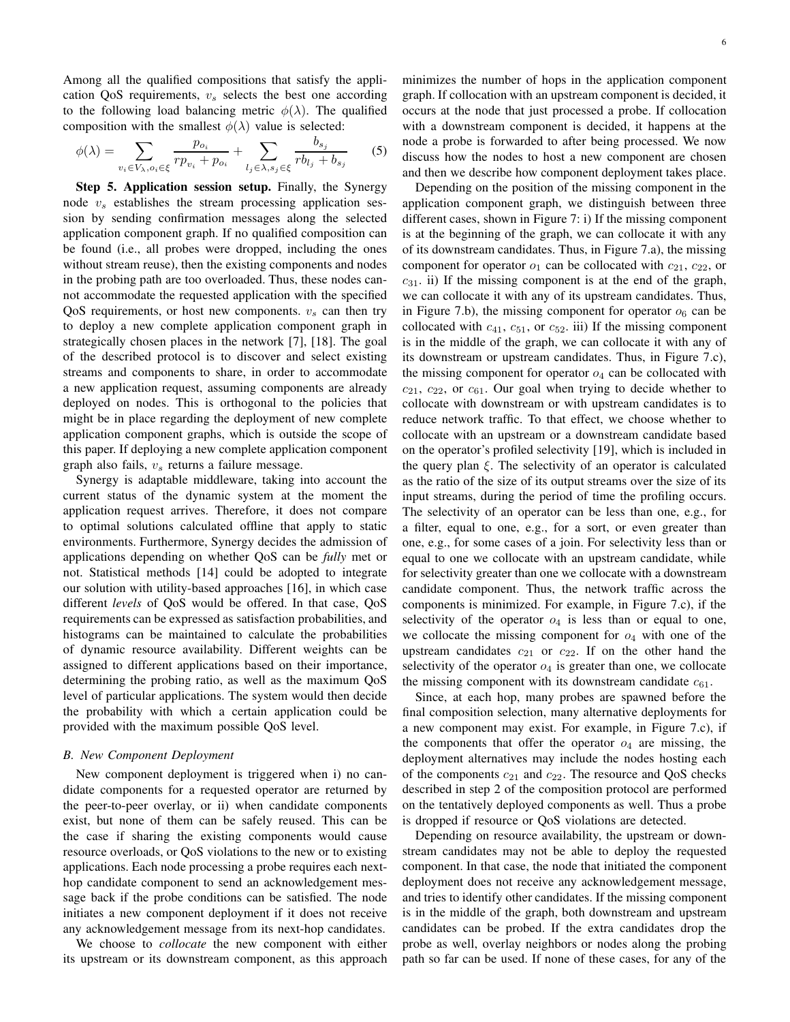Among all the qualified compositions that satisfy the application QoS requirements,  $v<sub>s</sub>$  selects the best one according to the following load balancing metric  $\phi(\lambda)$ . The qualified composition with the smallest  $\phi(\lambda)$  value is selected:

$$
\phi(\lambda) = \sum_{v_i \in V_{\lambda}, o_i \in \xi} \frac{p_{o_i}}{rp_{v_i} + p_{o_i}} + \sum_{l_j \in \lambda, s_j \in \xi} \frac{b_{s_j}}{rb_{l_j} + b_{s_j}} \tag{5}
$$

Step 5. Application session setup. Finally, the Synergy node  $v<sub>s</sub>$  establishes the stream processing application session by sending confirmation messages along the selected application component graph. If no qualified composition can be found (i.e., all probes were dropped, including the ones without stream reuse), then the existing components and nodes in the probing path are too overloaded. Thus, these nodes cannot accommodate the requested application with the specified QoS requirements, or host new components.  $v_s$  can then try to deploy a new complete application component graph in strategically chosen places in the network [7], [18]. The goal of the described protocol is to discover and select existing streams and components to share, in order to accommodate a new application request, assuming components are already deployed on nodes. This is orthogonal to the policies that might be in place regarding the deployment of new complete application component graphs, which is outside the scope of this paper. If deploying a new complete application component graph also fails,  $v_s$  returns a failure message.

Synergy is adaptable middleware, taking into account the current status of the dynamic system at the moment the application request arrives. Therefore, it does not compare to optimal solutions calculated offline that apply to static environments. Furthermore, Synergy decides the admission of applications depending on whether QoS can be *fully* met or not. Statistical methods [14] could be adopted to integrate our solution with utility-based approaches [16], in which case different *levels* of QoS would be offered. In that case, QoS requirements can be expressed as satisfaction probabilities, and histograms can be maintained to calculate the probabilities of dynamic resource availability. Different weights can be assigned to different applications based on their importance, determining the probing ratio, as well as the maximum QoS level of particular applications. The system would then decide the probability with which a certain application could be provided with the maximum possible QoS level.

## *B. New Component Deployment*

New component deployment is triggered when i) no candidate components for a requested operator are returned by the peer-to-peer overlay, or ii) when candidate components exist, but none of them can be safely reused. This can be the case if sharing the existing components would cause resource overloads, or QoS violations to the new or to existing applications. Each node processing a probe requires each nexthop candidate component to send an acknowledgement message back if the probe conditions can be satisfied. The node initiates a new component deployment if it does not receive any acknowledgement message from its next-hop candidates.

We choose to *collocate* the new component with either its upstream or its downstream component, as this approach minimizes the number of hops in the application component graph. If collocation with an upstream component is decided, it occurs at the node that just processed a probe. If collocation with a downstream component is decided, it happens at the node a probe is forwarded to after being processed. We now discuss how the nodes to host a new component are chosen and then we describe how component deployment takes place.

Depending on the position of the missing component in the application component graph, we distinguish between three different cases, shown in Figure 7: i) If the missing component is at the beginning of the graph, we can collocate it with any of its downstream candidates. Thus, in Figure 7.a), the missing component for operator  $o_1$  can be collocated with  $c_{21}$ ,  $c_{22}$ , or  $c_{31}$ . ii) If the missing component is at the end of the graph, we can collocate it with any of its upstream candidates. Thus, in Figure 7.b), the missing component for operator  $o_6$  can be collocated with  $c_{41}$ ,  $c_{51}$ , or  $c_{52}$ . iii) If the missing component is in the middle of the graph, we can collocate it with any of its downstream or upstream candidates. Thus, in Figure 7.c), the missing component for operator  $o_4$  can be collocated with  $c_{21}$ ,  $c_{22}$ , or  $c_{61}$ . Our goal when trying to decide whether to collocate with downstream or with upstream candidates is to reduce network traffic. To that effect, we choose whether to collocate with an upstream or a downstream candidate based on the operator's profiled selectivity [19], which is included in the query plan  $\xi$ . The selectivity of an operator is calculated as the ratio of the size of its output streams over the size of its input streams, during the period of time the profiling occurs. The selectivity of an operator can be less than one, e.g., for a filter, equal to one, e.g., for a sort, or even greater than one, e.g., for some cases of a join. For selectivity less than or equal to one we collocate with an upstream candidate, while for selectivity greater than one we collocate with a downstream candidate component. Thus, the network traffic across the components is minimized. For example, in Figure 7.c), if the selectivity of the operator  $o_4$  is less than or equal to one, we collocate the missing component for  $o_4$  with one of the upstream candidates  $c_{21}$  or  $c_{22}$ . If on the other hand the selectivity of the operator  $o_4$  is greater than one, we collocate the missing component with its downstream candidate  $c_{61}$ .

Since, at each hop, many probes are spawned before the final composition selection, many alternative deployments for a new component may exist. For example, in Figure 7.c), if the components that offer the operator  $o_4$  are missing, the deployment alternatives may include the nodes hosting each of the components  $c_{21}$  and  $c_{22}$ . The resource and QoS checks described in step 2 of the composition protocol are performed on the tentatively deployed components as well. Thus a probe is dropped if resource or QoS violations are detected.

Depending on resource availability, the upstream or downstream candidates may not be able to deploy the requested component. In that case, the node that initiated the component deployment does not receive any acknowledgement message, and tries to identify other candidates. If the missing component is in the middle of the graph, both downstream and upstream candidates can be probed. If the extra candidates drop the probe as well, overlay neighbors or nodes along the probing path so far can be used. If none of these cases, for any of the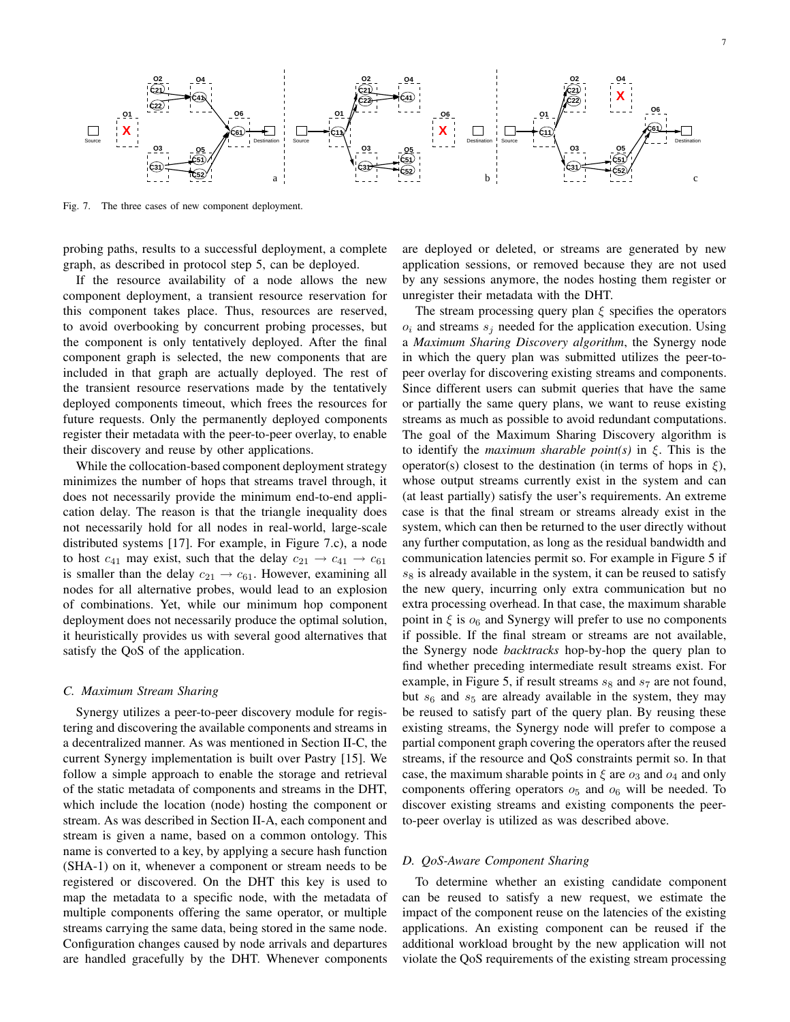

Fig. 7. The three cases of new component deployment.

probing paths, results to a successful deployment, a complete graph, as described in protocol step 5, can be deployed.

If the resource availability of a node allows the new component deployment, a transient resource reservation for this component takes place. Thus, resources are reserved, to avoid overbooking by concurrent probing processes, but the component is only tentatively deployed. After the final component graph is selected, the new components that are included in that graph are actually deployed. The rest of the transient resource reservations made by the tentatively deployed components timeout, which frees the resources for future requests. Only the permanently deployed components register their metadata with the peer-to-peer overlay, to enable their discovery and reuse by other applications.

While the collocation-based component deployment strategy minimizes the number of hops that streams travel through, it does not necessarily provide the minimum end-to-end application delay. The reason is that the triangle inequality does not necessarily hold for all nodes in real-world, large-scale distributed systems [17]. For example, in Figure 7.c), a node to host  $c_{41}$  may exist, such that the delay  $c_{21} \rightarrow c_{41} \rightarrow c_{61}$ is smaller than the delay  $c_{21} \rightarrow c_{61}$ . However, examining all nodes for all alternative probes, would lead to an explosion of combinations. Yet, while our minimum hop component deployment does not necessarily produce the optimal solution, it heuristically provides us with several good alternatives that satisfy the QoS of the application.

#### *C. Maximum Stream Sharing*

Synergy utilizes a peer-to-peer discovery module for registering and discovering the available components and streams in a decentralized manner. As was mentioned in Section II-C, the current Synergy implementation is built over Pastry [15]. We follow a simple approach to enable the storage and retrieval of the static metadata of components and streams in the DHT, which include the location (node) hosting the component or stream. As was described in Section II-A, each component and stream is given a name, based on a common ontology. This name is converted to a key, by applying a secure hash function (SHA-1) on it, whenever a component or stream needs to be registered or discovered. On the DHT this key is used to map the metadata to a specific node, with the metadata of multiple components offering the same operator, or multiple streams carrying the same data, being stored in the same node. Configuration changes caused by node arrivals and departures are handled gracefully by the DHT. Whenever components are deployed or deleted, or streams are generated by new application sessions, or removed because they are not used by any sessions anymore, the nodes hosting them register or unregister their metadata with the DHT.

The stream processing query plan  $\xi$  specifies the operators  $o_i$  and streams  $s_i$  needed for the application execution. Using a *Maximum Sharing Discovery algorithm*, the Synergy node in which the query plan was submitted utilizes the peer-topeer overlay for discovering existing streams and components. Since different users can submit queries that have the same or partially the same query plans, we want to reuse existing streams as much as possible to avoid redundant computations. The goal of the Maximum Sharing Discovery algorithm is to identify the *maximum sharable point(s)* in ξ. This is the operator(s) closest to the destination (in terms of hops in  $\xi$ ), whose output streams currently exist in the system and can (at least partially) satisfy the user's requirements. An extreme case is that the final stream or streams already exist in the system, which can then be returned to the user directly without any further computation, as long as the residual bandwidth and communication latencies permit so. For example in Figure 5 if  $s<sub>8</sub>$  is already available in the system, it can be reused to satisfy the new query, incurring only extra communication but no extra processing overhead. In that case, the maximum sharable point in  $\xi$  is  $o_6$  and Synergy will prefer to use no components if possible. If the final stream or streams are not available, the Synergy node *backtracks* hop-by-hop the query plan to find whether preceding intermediate result streams exist. For example, in Figure 5, if result streams  $s_8$  and  $s_7$  are not found, but  $s_6$  and  $s_5$  are already available in the system, they may be reused to satisfy part of the query plan. By reusing these existing streams, the Synergy node will prefer to compose a partial component graph covering the operators after the reused streams, if the resource and QoS constraints permit so. In that case, the maximum sharable points in  $\xi$  are  $o_3$  and  $o_4$  and only components offering operators  $o_5$  and  $o_6$  will be needed. To discover existing streams and existing components the peerto-peer overlay is utilized as was described above.

### *D. QoS-Aware Component Sharing*

To determine whether an existing candidate component can be reused to satisfy a new request, we estimate the impact of the component reuse on the latencies of the existing applications. An existing component can be reused if the additional workload brought by the new application will not violate the QoS requirements of the existing stream processing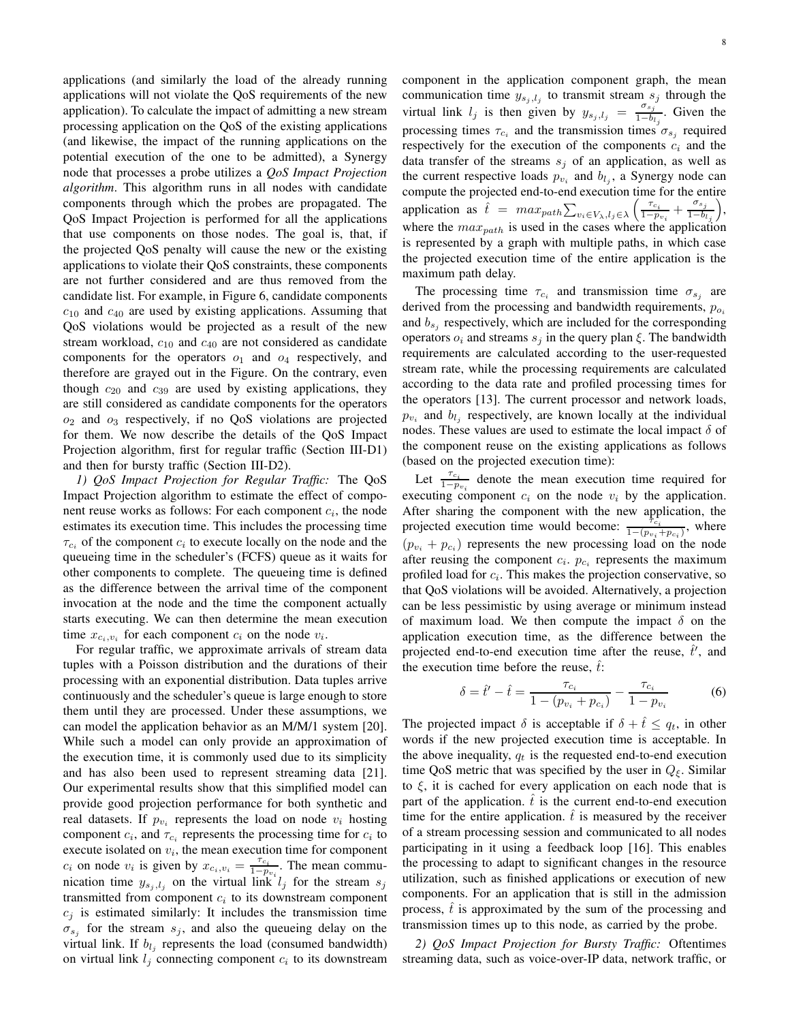applications (and similarly the load of the already running applications will not violate the QoS requirements of the new application). To calculate the impact of admitting a new stream processing application on the QoS of the existing applications (and likewise, the impact of the running applications on the potential execution of the one to be admitted), a Synergy node that processes a probe utilizes a *QoS Impact Projection algorithm*. This algorithm runs in all nodes with candidate components through which the probes are propagated. The QoS Impact Projection is performed for all the applications that use components on those nodes. The goal is, that, if the projected QoS penalty will cause the new or the existing applications to violate their QoS constraints, these components are not further considered and are thus removed from the candidate list. For example, in Figure 6, candidate components  $c_{10}$  and  $c_{40}$  are used by existing applications. Assuming that QoS violations would be projected as a result of the new stream workload,  $c_{10}$  and  $c_{40}$  are not considered as candidate components for the operators  $o_1$  and  $o_4$  respectively, and therefore are grayed out in the Figure. On the contrary, even though  $c_{20}$  and  $c_{39}$  are used by existing applications, they are still considered as candidate components for the operators  $o_2$  and  $o_3$  respectively, if no QoS violations are projected for them. We now describe the details of the QoS Impact Projection algorithm, first for regular traffic (Section III-D1) and then for bursty traffic (Section III-D2).

*1) QoS Impact Projection for Regular Traffic:* The QoS Impact Projection algorithm to estimate the effect of component reuse works as follows: For each component  $c_i$ , the node estimates its execution time. This includes the processing time  $\tau_{c_i}$  of the component  $c_i$  to execute locally on the node and the queueing time in the scheduler's (FCFS) queue as it waits for other components to complete. The queueing time is defined as the difference between the arrival time of the component invocation at the node and the time the component actually starts executing. We can then determine the mean execution time  $x_{c_i, v_i}$  for each component  $c_i$  on the node  $v_i$ .

For regular traffic, we approximate arrivals of stream data tuples with a Poisson distribution and the durations of their processing with an exponential distribution. Data tuples arrive continuously and the scheduler's queue is large enough to store them until they are processed. Under these assumptions, we can model the application behavior as an M/M/1 system [20]. While such a model can only provide an approximation of the execution time, it is commonly used due to its simplicity and has also been used to represent streaming data [21]. Our experimental results show that this simplified model can provide good projection performance for both synthetic and real datasets. If  $p_{v_i}$  represents the load on node  $v_i$  hosting component  $c_i$ , and  $\tau_{c_i}$  represents the processing time for  $c_i$  to execute isolated on  $v_i$ , the mean execution time for component  $c_i$  on node  $v_i$  is given by  $x_{c_i, v_i} = \frac{\tau_{c_i}}{1 - \nu_i}$  $\frac{r_{c_i}}{1-p_{v_i}}$ . The mean communication time  $y_{s_i, l_i}$  on the virtual link  $l_j$  for the stream  $s_j$ transmitted from component  $c_i$  to its downstream component  $c_j$  is estimated similarly: It includes the transmission time  $\sigma_{s_j}$  for the stream  $s_j$ , and also the queueing delay on the virtual link. If  $b_{l_j}$  represents the load (consumed bandwidth) on virtual link  $l_j$  connecting component  $c_i$  to its downstream 8

component in the application component graph, the mean communication time  $y_{s_j, l_j}$  to transmit stream  $s_j$  through the virtual link  $l_j$  is then given by  $y_{s_j, l_j} = \frac{\sigma_{s_j}}{1 - bi}$  $\frac{0 \, s_j}{1 - b \, l_j}$ . Given the processing times  $\tau_{c_i}$  and the transmission times  $\sigma_{s_j}$  required respectively for the execution of the components  $c_i$  and the data transfer of the streams  $s_i$  of an application, as well as the current respective loads  $p_{v_i}$  and  $b_{l_j}$ , a Synergy node can compute the projected end-to-end execution time for the entire application as  $\hat{t} = max_{path} \sum_{v_i \in V_{\lambda}, l_j \in \lambda} \left( \frac{\tau_{c_i}}{1 - p_i} \right)$  $\frac{\tau_{c_i}}{1-p_{v_i}} + \frac{\sigma_{s_j}}{1-b_i}$  $1-b_{l_j}$  , where the  $max_{path}$  is used in the cases where the application is represented by a graph with multiple paths, in which case the projected execution time of the entire application is the maximum path delay.

The processing time  $\tau_{c_i}$  and transmission time  $\sigma_{s_j}$  are derived from the processing and bandwidth requirements,  $p_{o_i}$ and  $b_{s_j}$  respectively, which are included for the corresponding operators  $o_i$  and streams  $s_j$  in the query plan  $\xi$ . The bandwidth requirements are calculated according to the user-requested stream rate, while the processing requirements are calculated according to the data rate and profiled processing times for the operators [13]. The current processor and network loads,  $p_{v_i}$  and  $b_{l_j}$  respectively, are known locally at the individual nodes. These values are used to estimate the local impact  $\delta$  of the component reuse on the existing applications as follows (based on the projected execution time):

Let  $\frac{\tau_{c_i}}{1-p_{v_i}}$  denote the mean execution time required for executing component  $c_i$  on the node  $v_i$  by the application. After sharing the component with the new application, the projected execution time would become:  $\frac{\overline{t_{c_i}}}{1-(p_{v_i}+p_{c_i})}$ , where  $(p_{v_i} + p_{c_i})$  represents the new processing load on the node after reusing the component  $c_i$ .  $p_{c_i}$  represents the maximum profiled load for  $c_i$ . This makes the projection conservative, so that QoS violations will be avoided. Alternatively, a projection can be less pessimistic by using average or minimum instead of maximum load. We then compute the impact  $\delta$  on the application execution time, as the difference between the projected end-to-end execution time after the reuse,  $\hat{t}'$ , and the execution time before the reuse,  $\hat{t}$ :

$$
\delta = \hat{t}' - \hat{t} = \frac{\tau_{c_i}}{1 - (p_{v_i} + p_{c_i})} - \frac{\tau_{c_i}}{1 - p_{v_i}} \tag{6}
$$

The projected impact  $\delta$  is acceptable if  $\delta + \hat{t} \leq q_t$ , in other words if the new projected execution time is acceptable. In the above inequality,  $q_t$  is the requested end-to-end execution time QoS metric that was specified by the user in  $Q_{\xi}$ . Similar to  $\xi$ , it is cached for every application on each node that is part of the application.  $\hat{t}$  is the current end-to-end execution time for the entire application.  $\hat{t}$  is measured by the receiver of a stream processing session and communicated to all nodes participating in it using a feedback loop [16]. This enables the processing to adapt to significant changes in the resource utilization, such as finished applications or execution of new components. For an application that is still in the admission process,  $\hat{t}$  is approximated by the sum of the processing and transmission times up to this node, as carried by the probe.

*2) QoS Impact Projection for Bursty Traffic:* Oftentimes streaming data, such as voice-over-IP data, network traffic, or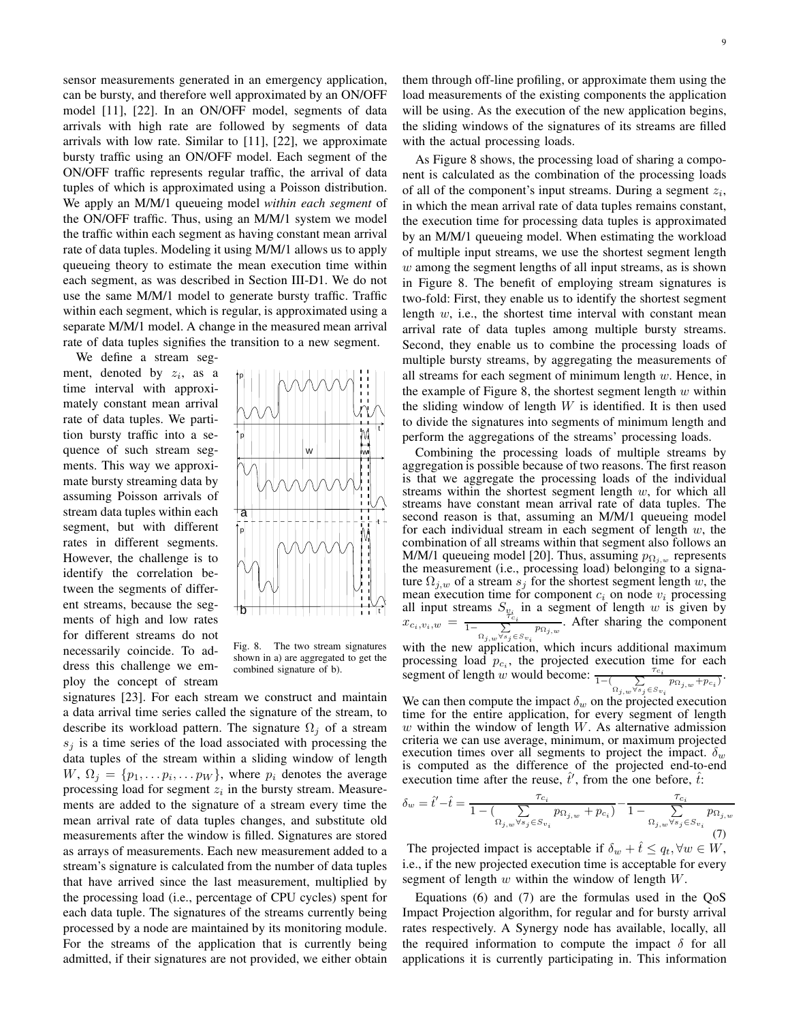sensor measurements generated in an emergency application, can be bursty, and therefore well approximated by an ON/OFF model [11], [22]. In an ON/OFF model, segments of data arrivals with high rate are followed by segments of data arrivals with low rate. Similar to [11], [22], we approximate bursty traffic using an ON/OFF model. Each segment of the ON/OFF traffic represents regular traffic, the arrival of data tuples of which is approximated using a Poisson distribution. We apply an M/M/1 queueing model *within each segment* of the ON/OFF traffic. Thus, using an M/M/1 system we model the traffic within each segment as having constant mean arrival rate of data tuples. Modeling it using M/M/1 allows us to apply queueing theory to estimate the mean execution time within each segment, as was described in Section III-D1. We do not use the same M/M/1 model to generate bursty traffic. Traffic within each segment, which is regular, is approximated using a separate M/M/1 model. A change in the measured mean arrival rate of data tuples signifies the transition to a new segment.

We define a stream segment, denoted by  $z_i$ , as a time interval with approximately constant mean arrival rate of data tuples. We partition bursty traffic into a sequence of such stream segments. This way we approximate bursty streaming data by assuming Poisson arrivals of stream data tuples within each segment, but with different rates in different segments. However, the challenge is to identify the correlation between the segments of different streams, because the segments of high and low rates for different streams do not necessarily coincide. To address this challenge we employ the concept of stream



Fig. 8. The two stream signatures shown in a) are aggregated to get the combined signature of b).

signatures [23]. For each stream we construct and maintain a data arrival time series called the signature of the stream, to describe its workload pattern. The signature  $\Omega_i$  of a stream  $s_j$  is a time series of the load associated with processing the data tuples of the stream within a sliding window of length  $W, \Omega_j = \{p_1, \ldots p_i, \ldots p_W\},\$  where  $p_i$  denotes the average processing load for segment  $z_i$  in the bursty stream. Measurements are added to the signature of a stream every time the mean arrival rate of data tuples changes, and substitute old measurements after the window is filled. Signatures are stored as arrays of measurements. Each new measurement added to a stream's signature is calculated from the number of data tuples that have arrived since the last measurement, multiplied by the processing load (i.e., percentage of CPU cycles) spent for each data tuple. The signatures of the streams currently being processed by a node are maintained by its monitoring module. For the streams of the application that is currently being admitted, if their signatures are not provided, we either obtain

them through off-line profiling, or approximate them using the load measurements of the existing components the application will be using. As the execution of the new application begins, the sliding windows of the signatures of its streams are filled with the actual processing loads.

As Figure 8 shows, the processing load of sharing a component is calculated as the combination of the processing loads of all of the component's input streams. During a segment  $z_i$ , in which the mean arrival rate of data tuples remains constant, the execution time for processing data tuples is approximated by an M/M/1 queueing model. When estimating the workload of multiple input streams, we use the shortest segment length  $w$  among the segment lengths of all input streams, as is shown in Figure 8. The benefit of employing stream signatures is two-fold: First, they enable us to identify the shortest segment length  $w$ , i.e., the shortest time interval with constant mean arrival rate of data tuples among multiple bursty streams. Second, they enable us to combine the processing loads of multiple bursty streams, by aggregating the measurements of all streams for each segment of minimum length  $w$ . Hence, in the example of Figure 8, the shortest segment length  $w$  within the sliding window of length  $W$  is identified. It is then used to divide the signatures into segments of minimum length and perform the aggregations of the streams' processing loads.

Combining the processing loads of multiple streams by aggregation is possible because of two reasons. The first reason is that we aggregate the processing loads of the individual streams within the shortest segment length  $w$ , for which all streams have constant mean arrival rate of data tuples. The second reason is that, assuming an M/M/1 queueing model for each individual stream in each segment of length  $w$ , the combination of all streams within that segment also follows an M/M/1 queueing model [20]. Thus, assuming  $p_{\Omega_{i,w}}$  represents the measurement (i.e., processing load) belonging to a signature  $\Omega_{j,w}$  of a stream  $s_j$  for the shortest segment length w, the mean execution time for component  $c_i$  on node  $v_i$  processing all input streams  $S_{v_i}$  in a segment of length w is given by<br> $T_c$   $\frac{T_{c_i}}{T_{c_i}}$   $\frac{1}{T_{c_i}}$  After sharing the component  $x_{c_i,v_i,w} = \frac{1}{1-w_i}$  $\sum_{\Omega_j,\, w\, \forall s_j \in Sv_i}$  $\frac{1}{p_{\Omega_{j,w}}}$ . After sharing the component

with the new application, which incurs additional maximum processing load  $p_{c_i}$ , the projected execution time for each segment of length w would become:  $\frac{\tau_{c_i}}{1-(-\sum)}$  $\sum_{\substack{\Omega_j, w\forall s_j \in S_{v_i}}}^{P_{c_i}} p_{\Omega_j, w} + p_{c_i}$ 

We can then compute the impact  $\delta_w$  on the projected execution time for the entire application, for every segment of length w within the window of length  $W$ . As alternative admission criteria we can use average, minimum, or maximum projected execution times over all segments to project the impact.  $\delta_w$ is computed as the difference of the projected end-to-end execution time after the reuse,  $\hat{t}'$ , from the one before,  $\hat{t}$ :

$$
\delta_w = \hat{t}' - \hat{t} = \frac{\tau_{c_i}}{1 - \left(\sum_{\Omega_{j,w} \forall s_j \in S_{v_i}} p_{\Omega_{j,w}} + p_{c_i}\right)} - \frac{\tau_{c_i}}{1 - \sum_{\Omega_{j,w} \forall s_j \in S_{v_i}} p_{\Omega_{j,w}}}
$$
\n
$$
(7)
$$

The projected impact is acceptable if  $\delta_w + \tilde{t} \leq q_t, \forall w \in W$ , i.e., if the new projected execution time is acceptable for every segment of length  $w$  within the window of length  $W$ .

Equations (6) and (7) are the formulas used in the QoS Impact Projection algorithm, for regular and for bursty arrival rates respectively. A Synergy node has available, locally, all the required information to compute the impact  $\delta$  for all applications it is currently participating in. This information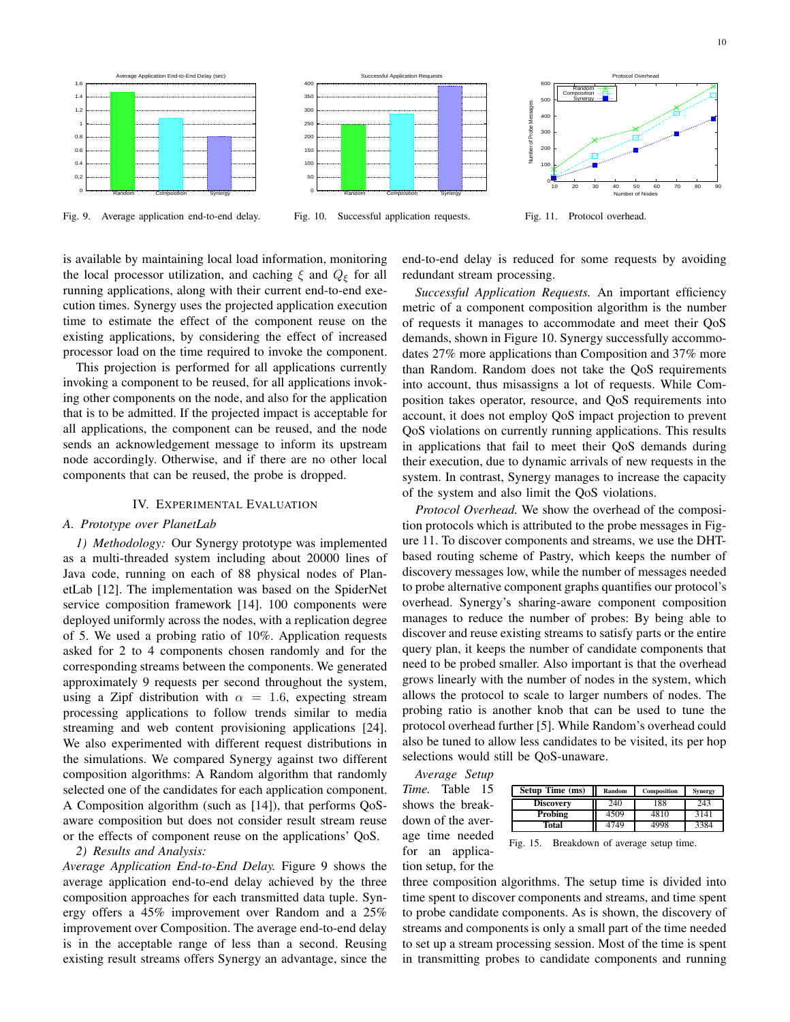



Fig. 9. Average application end-to-end delay.





Fig. 11. Protocol overhead.

is available by maintaining local load information, monitoring the local processor utilization, and caching  $\xi$  and  $Q_{\xi}$  for all running applications, along with their current end-to-end execution times. Synergy uses the projected application execution time to estimate the effect of the component reuse on the existing applications, by considering the effect of increased processor load on the time required to invoke the component.

This projection is performed for all applications currently invoking a component to be reused, for all applications invoking other components on the node, and also for the application that is to be admitted. If the projected impact is acceptable for all applications, the component can be reused, and the node sends an acknowledgement message to inform its upstream node accordingly. Otherwise, and if there are no other local components that can be reused, the probe is dropped.

# IV. EXPERIMENTAL EVALUATION

# *A. Prototype over PlanetLab*

*1) Methodology:* Our Synergy prototype was implemented as a multi-threaded system including about 20000 lines of Java code, running on each of 88 physical nodes of PlanetLab [12]. The implementation was based on the SpiderNet service composition framework [14]. 100 components were deployed uniformly across the nodes, with a replication degree of 5. We used a probing ratio of 10%. Application requests asked for 2 to 4 components chosen randomly and for the corresponding streams between the components. We generated approximately 9 requests per second throughout the system, using a Zipf distribution with  $\alpha = 1.6$ , expecting stream processing applications to follow trends similar to media streaming and web content provisioning applications [24]. We also experimented with different request distributions in the simulations. We compared Synergy against two different composition algorithms: A Random algorithm that randomly selected one of the candidates for each application component. A Composition algorithm (such as [14]), that performs QoSaware composition but does not consider result stream reuse or the effects of component reuse on the applications' QoS.

*2) Results and Analysis:*

*Average Application End-to-End Delay.* Figure 9 shows the average application end-to-end delay achieved by the three composition approaches for each transmitted data tuple. Synergy offers a 45% improvement over Random and a 25% improvement over Composition. The average end-to-end delay is in the acceptable range of less than a second. Reusing existing result streams offers Synergy an advantage, since the end-to-end delay is reduced for some requests by avoiding redundant stream processing.

*Successful Application Requests.* An important efficiency metric of a component composition algorithm is the number of requests it manages to accommodate and meet their QoS demands, shown in Figure 10. Synergy successfully accommodates 27% more applications than Composition and 37% more than Random. Random does not take the QoS requirements into account, thus misassigns a lot of requests. While Composition takes operator, resource, and QoS requirements into account, it does not employ QoS impact projection to prevent QoS violations on currently running applications. This results in applications that fail to meet their QoS demands during their execution, due to dynamic arrivals of new requests in the system. In contrast, Synergy manages to increase the capacity of the system and also limit the QoS violations.

*Protocol Overhead.* We show the overhead of the composition protocols which is attributed to the probe messages in Figure 11. To discover components and streams, we use the DHTbased routing scheme of Pastry, which keeps the number of discovery messages low, while the number of messages needed to probe alternative component graphs quantifies our protocol's overhead. Synergy's sharing-aware component composition manages to reduce the number of probes: By being able to discover and reuse existing streams to satisfy parts or the entire query plan, it keeps the number of candidate components that need to be probed smaller. Also important is that the overhead grows linearly with the number of nodes in the system, which allows the protocol to scale to larger numbers of nodes. The probing ratio is another knob that can be used to tune the protocol overhead further [5]. While Random's overhead could also be tuned to allow less candidates to be visited, its per hop selections would still be QoS-unaware.

*Average Setup Time.* Table 15 shows the breakdown of the average time needed for an applica-

tion setup, for the

| Setup Time (ms)  | Random | Composition | Synergy |
|------------------|--------|-------------|---------|
| <b>Discovery</b> | 240    | 188         | 243     |
| Probing          | 4509   | 4810        | 3141    |
| Total            | 4749   | 4998        | 3384    |

Fig. 15. Breakdown of average setup time.

three composition algorithms. The setup time is divided into time spent to discover components and streams, and time spent to probe candidate components. As is shown, the discovery of streams and components is only a small part of the time needed to set up a stream processing session. Most of the time is spent in transmitting probes to candidate components and running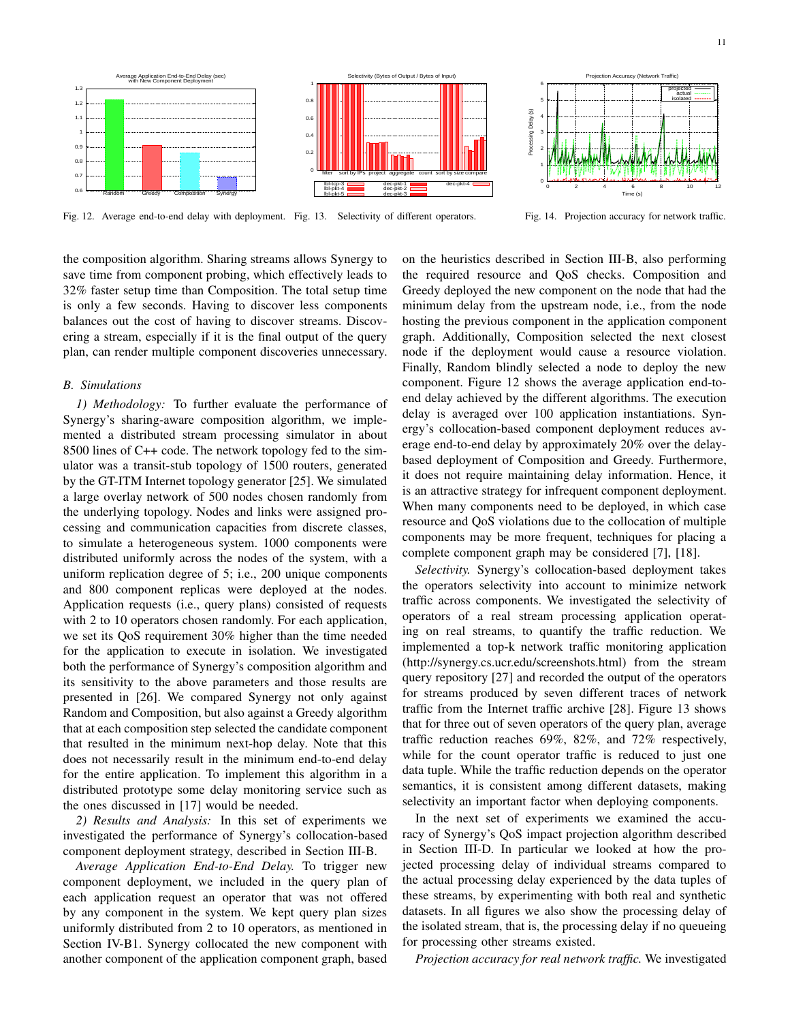

Fig. 12. Average end-to-end delay with deployment. Fig. 13. Selectivity of different operators.

Fig. 14. Projection accuracy for network traffic.

the composition algorithm. Sharing streams allows Synergy to save time from component probing, which effectively leads to 32% faster setup time than Composition. The total setup time is only a few seconds. Having to discover less components balances out the cost of having to discover streams. Discovering a stream, especially if it is the final output of the query plan, can render multiple component discoveries unnecessary.

# *B. Simulations*

*1) Methodology:* To further evaluate the performance of Synergy's sharing-aware composition algorithm, we implemented a distributed stream processing simulator in about 8500 lines of C++ code. The network topology fed to the simulator was a transit-stub topology of 1500 routers, generated by the GT-ITM Internet topology generator [25]. We simulated a large overlay network of 500 nodes chosen randomly from the underlying topology. Nodes and links were assigned processing and communication capacities from discrete classes, to simulate a heterogeneous system. 1000 components were distributed uniformly across the nodes of the system, with a uniform replication degree of 5; i.e., 200 unique components and 800 component replicas were deployed at the nodes. Application requests (i.e., query plans) consisted of requests with 2 to 10 operators chosen randomly. For each application, we set its QoS requirement 30% higher than the time needed for the application to execute in isolation. We investigated both the performance of Synergy's composition algorithm and its sensitivity to the above parameters and those results are presented in [26]. We compared Synergy not only against Random and Composition, but also against a Greedy algorithm that at each composition step selected the candidate component that resulted in the minimum next-hop delay. Note that this does not necessarily result in the minimum end-to-end delay for the entire application. To implement this algorithm in a distributed prototype some delay monitoring service such as the ones discussed in [17] would be needed.

*2) Results and Analysis:* In this set of experiments we investigated the performance of Synergy's collocation-based component deployment strategy, described in Section III-B.

*Average Application End-to-End Delay.* To trigger new component deployment, we included in the query plan of each application request an operator that was not offered by any component in the system. We kept query plan sizes uniformly distributed from 2 to 10 operators, as mentioned in Section IV-B1. Synergy collocated the new component with another component of the application component graph, based

on the heuristics described in Section III-B, also performing the required resource and QoS checks. Composition and Greedy deployed the new component on the node that had the minimum delay from the upstream node, i.e., from the node hosting the previous component in the application component graph. Additionally, Composition selected the next closest node if the deployment would cause a resource violation. Finally, Random blindly selected a node to deploy the new component. Figure 12 shows the average application end-toend delay achieved by the different algorithms. The execution delay is averaged over 100 application instantiations. Synergy's collocation-based component deployment reduces average end-to-end delay by approximately 20% over the delaybased deployment of Composition and Greedy. Furthermore, it does not require maintaining delay information. Hence, it is an attractive strategy for infrequent component deployment. When many components need to be deployed, in which case resource and QoS violations due to the collocation of multiple components may be more frequent, techniques for placing a complete component graph may be considered [7], [18].

*Selectivity.* Synergy's collocation-based deployment takes the operators selectivity into account to minimize network traffic across components. We investigated the selectivity of operators of a real stream processing application operating on real streams, to quantify the traffic reduction. We implemented a top-k network traffic monitoring application (http://synergy.cs.ucr.edu/screenshots.html) from the stream query repository [27] and recorded the output of the operators for streams produced by seven different traces of network traffic from the Internet traffic archive [28]. Figure 13 shows that for three out of seven operators of the query plan, average traffic reduction reaches 69%, 82%, and 72% respectively, while for the count operator traffic is reduced to just one data tuple. While the traffic reduction depends on the operator semantics, it is consistent among different datasets, making selectivity an important factor when deploying components.

In the next set of experiments we examined the accuracy of Synergy's QoS impact projection algorithm described in Section III-D. In particular we looked at how the projected processing delay of individual streams compared to the actual processing delay experienced by the data tuples of these streams, by experimenting with both real and synthetic datasets. In all figures we also show the processing delay of the isolated stream, that is, the processing delay if no queueing for processing other streams existed.

*Projection accuracy for real network traffic.* We investigated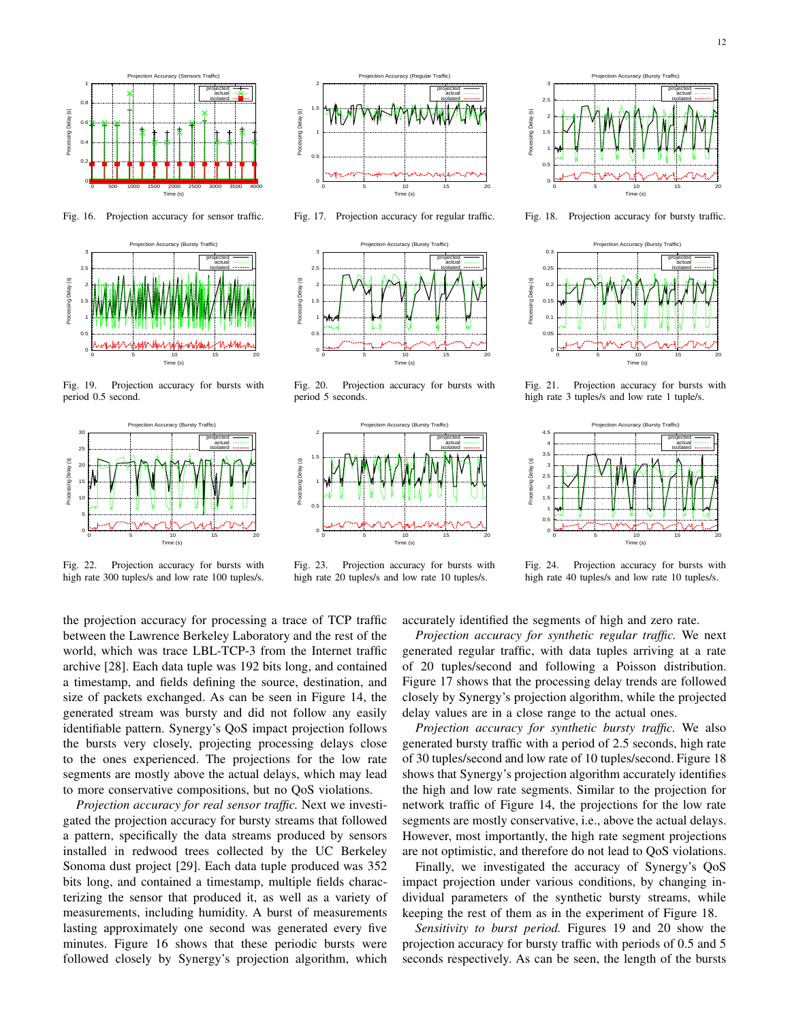

Fig. 16. Projection accuracy for sensor traffic.



Fig. 19. Projection accuracy for bursts with period 0.5 second.



Fig. 22. Projection accuracy for bursts with high rate 300 tuples/s and low rate 100 tuples/s.



Fig. 17. Projection accuracy for regular traffic.



Fig. 20. Projection accuracy for bursts with period 5 seconds.



Fig. 23. Projection accuracy for bursts with high rate 20 tuples/s and low rate 10 tuples/s.



Fig. 18. Projection accuracy for bursty traffic.



Fig. 21. Projection accuracy for bursts with high rate 3 tuples/s and low rate 1 tuple/s.



Fig. 24. Projection accuracy for bursts with high rate 40 tuples/s and low rate 10 tuples/s.

the projection accuracy for processing a trace of TCP traffic between the Lawrence Berkeley Laboratory and the rest of the world, which was trace LBL-TCP-3 from the Internet traffic archive [28]. Each data tuple was 192 bits long, and contained a timestamp, and fields defining the source, destination, and size of packets exchanged. As can be seen in Figure 14, the generated stream was bursty and did not follow any easily identifiable pattern. Synergy's QoS impact projection follows the bursts very closely, projecting processing delays close to the ones experienced. The projections for the low rate segments are mostly above the actual delays, which may lead to more conservative compositions, but no QoS violations.

*Projection accuracy for real sensor traffic.* Next we investigated the projection accuracy for bursty streams that followed a pattern, specifically the data streams produced by sensors installed in redwood trees collected by the UC Berkeley Sonoma dust project [29]. Each data tuple produced was 352 bits long, and contained a timestamp, multiple fields characterizing the sensor that produced it, as well as a variety of measurements, including humidity. A burst of measurements lasting approximately one second was generated every five minutes. Figure 16 shows that these periodic bursts were followed closely by Synergy's projection algorithm, which

accurately identified the segments of high and zero rate.

*Projection accuracy for synthetic regular traffic.* We next generated regular traffic, with data tuples arriving at a rate of 20 tuples/second and following a Poisson distribution. Figure 17 shows that the processing delay trends are followed closely by Synergy's projection algorithm, while the projected delay values are in a close range to the actual ones.

*Projection accuracy for synthetic bursty traffic.* We also generated bursty traffic with a period of 2.5 seconds, high rate of 30 tuples/second and low rate of 10 tuples/second. Figure 18 shows that Synergy's projection algorithm accurately identifies the high and low rate segments. Similar to the projection for network traffic of Figure 14, the projections for the low rate segments are mostly conservative, i.e., above the actual delays. However, most importantly, the high rate segment projections are not optimistic, and therefore do not lead to QoS violations.

Finally, we investigated the accuracy of Synergy's QoS impact projection under various conditions, by changing individual parameters of the synthetic bursty streams, while keeping the rest of them as in the experiment of Figure 18.

*Sensitivity to burst period.* Figures 19 and 20 show the projection accuracy for bursty traffic with periods of 0.5 and 5 seconds respectively. As can be seen, the length of the bursts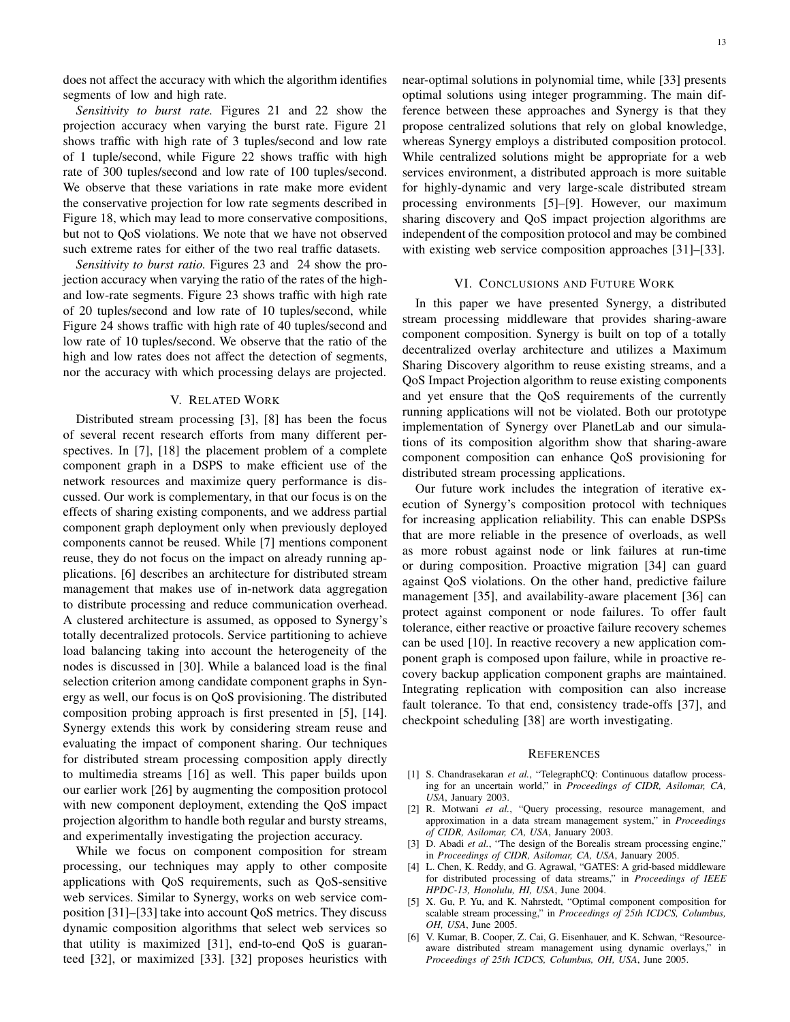does not affect the accuracy with which the algorithm identifies segments of low and high rate.

*Sensitivity to burst rate.* Figures 21 and 22 show the projection accuracy when varying the burst rate. Figure 21 shows traffic with high rate of 3 tuples/second and low rate of 1 tuple/second, while Figure 22 shows traffic with high rate of 300 tuples/second and low rate of 100 tuples/second. We observe that these variations in rate make more evident the conservative projection for low rate segments described in Figure 18, which may lead to more conservative compositions, but not to QoS violations. We note that we have not observed such extreme rates for either of the two real traffic datasets.

*Sensitivity to burst ratio.* Figures 23 and 24 show the projection accuracy when varying the ratio of the rates of the highand low-rate segments. Figure 23 shows traffic with high rate of 20 tuples/second and low rate of 10 tuples/second, while Figure 24 shows traffic with high rate of 40 tuples/second and low rate of 10 tuples/second. We observe that the ratio of the high and low rates does not affect the detection of segments, nor the accuracy with which processing delays are projected.

## V. RELATED WORK

Distributed stream processing [3], [8] has been the focus of several recent research efforts from many different perspectives. In [7], [18] the placement problem of a complete component graph in a DSPS to make efficient use of the network resources and maximize query performance is discussed. Our work is complementary, in that our focus is on the effects of sharing existing components, and we address partial component graph deployment only when previously deployed components cannot be reused. While [7] mentions component reuse, they do not focus on the impact on already running applications. [6] describes an architecture for distributed stream management that makes use of in-network data aggregation to distribute processing and reduce communication overhead. A clustered architecture is assumed, as opposed to Synergy's totally decentralized protocols. Service partitioning to achieve load balancing taking into account the heterogeneity of the nodes is discussed in [30]. While a balanced load is the final selection criterion among candidate component graphs in Synergy as well, our focus is on QoS provisioning. The distributed composition probing approach is first presented in [5], [14]. Synergy extends this work by considering stream reuse and evaluating the impact of component sharing. Our techniques for distributed stream processing composition apply directly to multimedia streams [16] as well. This paper builds upon our earlier work [26] by augmenting the composition protocol with new component deployment, extending the QoS impact projection algorithm to handle both regular and bursty streams, and experimentally investigating the projection accuracy.

While we focus on component composition for stream processing, our techniques may apply to other composite applications with QoS requirements, such as QoS-sensitive web services. Similar to Synergy, works on web service composition [31]–[33] take into account QoS metrics. They discuss dynamic composition algorithms that select web services so that utility is maximized [31], end-to-end QoS is guaranteed [32], or maximized [33]. [32] proposes heuristics with near-optimal solutions in polynomial time, while [33] presents optimal solutions using integer programming. The main difference between these approaches and Synergy is that they propose centralized solutions that rely on global knowledge, whereas Synergy employs a distributed composition protocol. While centralized solutions might be appropriate for a web services environment, a distributed approach is more suitable for highly-dynamic and very large-scale distributed stream processing environments [5]–[9]. However, our maximum sharing discovery and QoS impact projection algorithms are independent of the composition protocol and may be combined with existing web service composition approaches [31]–[33].

#### VI. CONCLUSIONS AND FUTURE WORK

In this paper we have presented Synergy, a distributed stream processing middleware that provides sharing-aware component composition. Synergy is built on top of a totally decentralized overlay architecture and utilizes a Maximum Sharing Discovery algorithm to reuse existing streams, and a QoS Impact Projection algorithm to reuse existing components and yet ensure that the QoS requirements of the currently running applications will not be violated. Both our prototype implementation of Synergy over PlanetLab and our simulations of its composition algorithm show that sharing-aware component composition can enhance QoS provisioning for distributed stream processing applications.

Our future work includes the integration of iterative execution of Synergy's composition protocol with techniques for increasing application reliability. This can enable DSPSs that are more reliable in the presence of overloads, as well as more robust against node or link failures at run-time or during composition. Proactive migration [34] can guard against QoS violations. On the other hand, predictive failure management [35], and availability-aware placement [36] can protect against component or node failures. To offer fault tolerance, either reactive or proactive failure recovery schemes can be used [10]. In reactive recovery a new application component graph is composed upon failure, while in proactive recovery backup application component graphs are maintained. Integrating replication with composition can also increase fault tolerance. To that end, consistency trade-offs [37], and checkpoint scheduling [38] are worth investigating.

#### **REFERENCES**

- [1] S. Chandrasekaran *et al.*, "TelegraphCQ: Continuous dataflow processing for an uncertain world," in *Proceedings of CIDR, Asilomar, CA, USA*, January 2003.
- [2] R. Motwani *et al.*, "Query processing, resource management, and approximation in a data stream management system," in *Proceedings of CIDR, Asilomar, CA, USA*, January 2003.
- [3] D. Abadi et al., "The design of the Borealis stream processing engine," in *Proceedings of CIDR, Asilomar, CA, USA*, January 2005.
- [4] L. Chen, K. Reddy, and G. Agrawal, "GATES: A grid-based middleware for distributed processing of data streams," in *Proceedings of IEEE HPDC-13, Honolulu, HI, USA*, June 2004.
- [5] X. Gu, P. Yu, and K. Nahrstedt, "Optimal component composition for scalable stream processing," in *Proceedings of 25th ICDCS, Columbus, OH, USA*, June 2005.
- [6] V. Kumar, B. Cooper, Z. Cai, G. Eisenhauer, and K. Schwan, "Resourceaware distributed stream management using dynamic overlays," in *Proceedings of 25th ICDCS, Columbus, OH, USA*, June 2005.